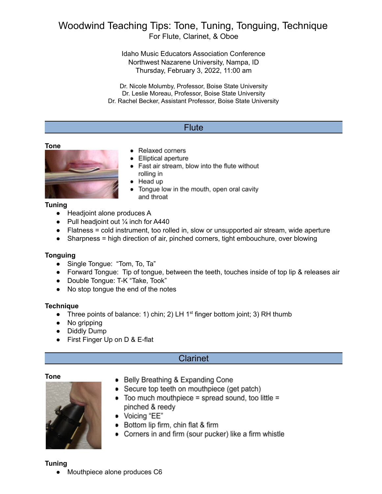# Woodwind Teaching Tips: Tone, Tuning, Tonguing, Technique For Flute, Clarinet, & Oboe

Idaho Music Educators Association Conference Northwest Nazarene University, Nampa, ID Thursday, February 3, 2022, 11:00 am

Dr. Nicole Molumby, Professor, Boise State University Dr. Leslie Moreau, Professor, Boise State University Dr. Rachel Becker, Assistant Professor, Boise State University

# **Flute**

#### **Tone**



# • Relaxed corners

- Elliptical aperture
- Fast air stream, blow into the flute without rolling in
- Head up
- Tongue low in the mouth, open oral cavity and throat

#### **Tuning**

- Headjoint alone produces A
- Pull headjoint out  $\frac{1}{4}$  inch for A440
- Flatness = cold instrument, too rolled in, slow or unsupported air stream, wide aperture
- Sharpness = high direction of air, pinched corners, tight embouchure, over blowing

## **Tonguing**

- **●** Single Tongue: "Tom, To, Ta"
- **●** Forward Tongue: Tip of tongue, between the teeth, touches inside of top lip & releases air
- **●** Double Tongue: T-K "Take, Took"
- **●** No stop tongue the end of the notes

## **Technique**

- Three points of balance: 1) chin; 2) LH 1<sup>st</sup> finger bottom joint; 3) RH thumb
- **●** No gripping
- **●** Diddly Dump
- **●** First Finger Up on D & E-flat

# Clarinet

#### **Tone**



- Belly Breathing & Expanding Cone
- Secure top teeth on mouthpiece (get patch)
- Too much mouthpiece = spread sound, too little = pinched & reedy
- Voicing "EE"
- Bottom lip firm, chin flat & firm
- Corners in and firm (sour pucker) like a firm whistle

#### **Tuning**

Mouthpiece alone produces C6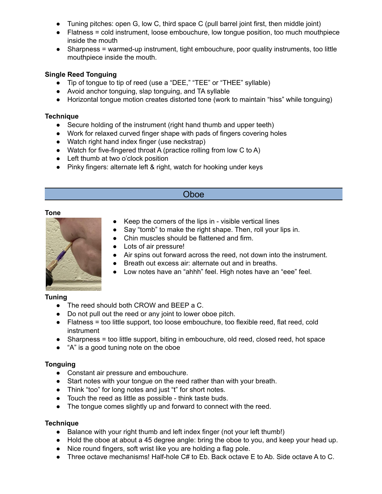- Tuning pitches: open G, low C, third space C (pull barrel joint first, then middle joint)
- Flatness = cold instrument, loose embouchure, low tongue position, too much mouthpiece inside the mouth
- Sharpness = warmed-up instrument, tight embouchure, poor quality instruments, too little mouthpiece inside the mouth.

# **Single Reed Tonguing**

- Tip of tongue to tip of reed (use a "DEE," "TEE" or "THEE" syllable)
- Avoid anchor tonguing, slap tonguing, and TA syllable
- Horizontal tongue motion creates distorted tone (work to maintain "hiss" while tonguing)

## **Technique**

- Secure holding of the instrument (right hand thumb and upper teeth)
- Work for relaxed curved finger shape with pads of fingers covering holes
- Watch right hand index finger (use neckstrap)
- Watch for five-fingered throat A (practice rolling from low C to A)
- Left thumb at two o'clock position
- Pinky fingers: alternate left & right, watch for hooking under keys

# Oboe

#### **Tone**



- Keep the corners of the lips in visible vertical lines
- Say "tomb" to make the right shape. Then, roll your lips in.
- Chin muscles should be flattened and firm.
- Lots of air pressure!
- Air spins out forward across the reed, not down into the instrument.
- Breath out excess air: alternate out and in breaths.
- Low notes have an "ahhh" feel. High notes have an "eee" feel.

## **Tuning**

- The reed should both CROW and BEEP a C.
- Do not pull out the reed or any joint to lower oboe pitch.
- Flatness = too little support, too loose embouchure, too flexible reed, flat reed, cold instrument
- Sharpness = too little support, biting in embouchure, old reed, closed reed, hot space
- "A" is a good tuning note on the oboe

## **Tonguing**

- Constant air pressure and embouchure.
- Start notes with your tongue on the reed rather than with your breath.
- Think "too" for long notes and just "t" for short notes.
- Touch the reed as little as possible think taste buds.
- The tongue comes slightly up and forward to connect with the reed.

## **Technique**

- Balance with your right thumb and left index finger (not your left thumb!)
- Hold the oboe at about a 45 degree angle: bring the oboe to you, and keep your head up.
- Nice round fingers, soft wrist like you are holding a flag pole.
- Three octave mechanisms! Half-hole C# to Eb. Back octave E to Ab. Side octave A to C.